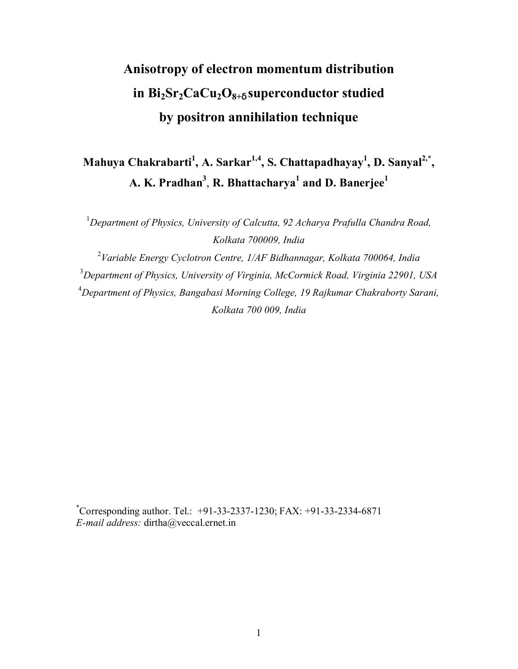# **Anisotropy of electron momentum distribution in Bi2Sr2CaCu2O8+**<sup>δ</sup> **superconductor studied by positron annihilation technique**

# Mahuya Chakrabarti<sup>1</sup>, A. Sarkar<sup>1,4</sup>, S. Chattapadhayay<sup>1</sup>, D. Sanyal<sup>2,\*</sup>, **A. K. Pradhan3** , **R. Bhattacharya<sup>1</sup> and D. Banerjee1**

<sup>1</sup>Department of Physics, University of Calcutta, 92 Acharya Prafulla Chandra Road, *Kolkata 700009, India* 

 *Variable Energy Cyclotron Centre, 1/AF Bidhannagar, Kolkata 700064, India Department of Physics, University of Virginia, McCormick Road, Virginia 22901, USA Department of Physics, Bangabasi Morning College, 19 Rajkumar Chakraborty Sarani, Kolkata 700 009, India* 

\* Corresponding author. Tel.: +91-33-2337-1230; FAX: +91-33-2334-6871 *E-mail address:* dirtha@veccal.ernet.in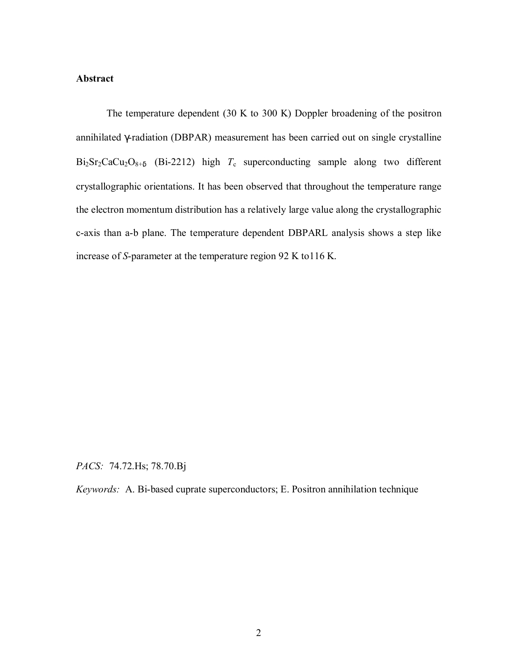#### **Abstract**

 The temperature dependent (30 K to 300 K) Doppler broadening of the positron annihilated γ-radiation (DBPAR) measurement has been carried out on single crystalline  $Bi_2Sr_2CaCu_2O_{8+δ}$  (Bi-2212) high  $T_c$  superconducting sample along two different crystallographic orientations. It has been observed that throughout the temperature range the electron momentum distribution has a relatively large value along the crystallographic c-axis than a-b plane. The temperature dependent DBPARL analysis shows a step like increase of *S*-parameter at the temperature region 92 K to116 K.

*PACS:* 74.72.Hs; 78.70.Bj

*Keywords:* A. Bi-based cuprate superconductors; E. Positron annihilation technique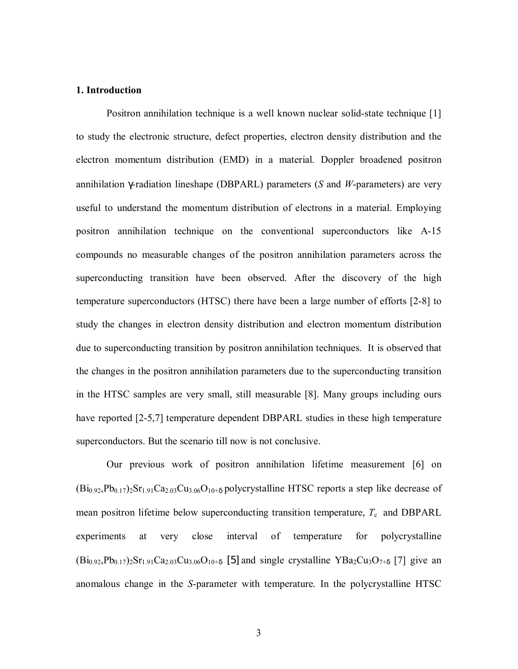#### **1. Introduction**

Positron annihilation technique is a well known nuclear solid-state technique [1] to study the electronic structure, defect properties, electron density distribution and the electron momentum distribution (EMD) in a material. Doppler broadened positron annihilation γ-radiation lineshape (DBPARL) parameters (*S* and *W*-parameters) are very useful to understand the momentum distribution of electrons in a material. Employing positron annihilation technique on the conventional superconductors like A-15 compounds no measurable changes of the positron annihilation parameters across the superconducting transition have been observed. After the discovery of the high temperature superconductors (HTSC) there have been a large number of efforts [2-8] to study the changes in electron density distribution and electron momentum distribution due to superconducting transition by positron annihilation techniques. It is observed that the changes in the positron annihilation parameters due to the superconducting transition in the HTSC samples are very small, still measurable [8]. Many groups including ours have reported [2-5,7] temperature dependent DBPARL studies in these high temperature superconductors. But the scenario till now is not conclusive.

 Our previous work of positron annihilation lifetime measurement [6] on  $(Bi_{0.92}, Pb_{0.17})_2Sr_{1.91}Ca_{2.03}Cu_{3.06}O_{10+8}$  polycrystalline HTSC reports a step like decrease of mean positron lifetime below superconducting transition temperature,  $T_c$  and DBPARL experiments at very close interval of temperature for polycrystalline  $(Bi_{0.92}, Pb_{0.17})_2Sr_{1.91}Ca_{2.03}Cu_{3.06}O_{10+6}$  [5] and single crystalline YBa<sub>2</sub>Cu<sub>3</sub>O<sub>7+δ</sub> [7] give an anomalous change in the *S*-parameter with temperature. In the polycrystalline HTSC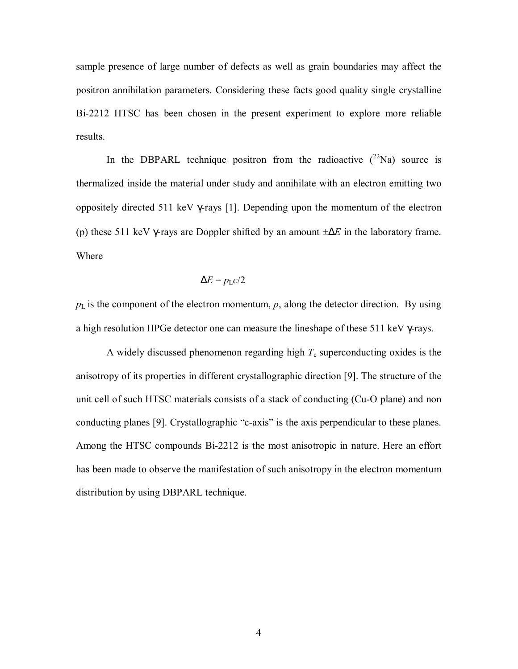sample presence of large number of defects as well as grain boundaries may affect the positron annihilation parameters. Considering these facts good quality single crystalline Bi-2212 HTSC has been chosen in the present experiment to explore more reliable results.

In the DBPARL technique positron from the radioactive  $(^{22}Na)$  source is thermalized inside the material under study and annihilate with an electron emitting two oppositely directed 511 keV γ-rays [1]. Depending upon the momentum of the electron (p) these 511 keV γ-rays are Doppler shifted by an amount ±∆*E* in the laboratory frame. Where

$$
\Delta E = p_{\rm L} c / 2
$$

 $p_L$  is the component of the electron momentum,  $p$ , along the detector direction. By using a high resolution HPGe detector one can measure the lineshape of these 511 keV γ-rays.

A widely discussed phenomenon regarding high  $T_c$  superconducting oxides is the anisotropy of its properties in different crystallographic direction [9]. The structure of the unit cell of such HTSC materials consists of a stack of conducting (Cu-O plane) and non conducting planes [9]. Crystallographic "c-axis" is the axis perpendicular to these planes. Among the HTSC compounds Bi-2212 is the most anisotropic in nature. Here an effort has been made to observe the manifestation of such anisotropy in the electron momentum distribution by using DBPARL technique.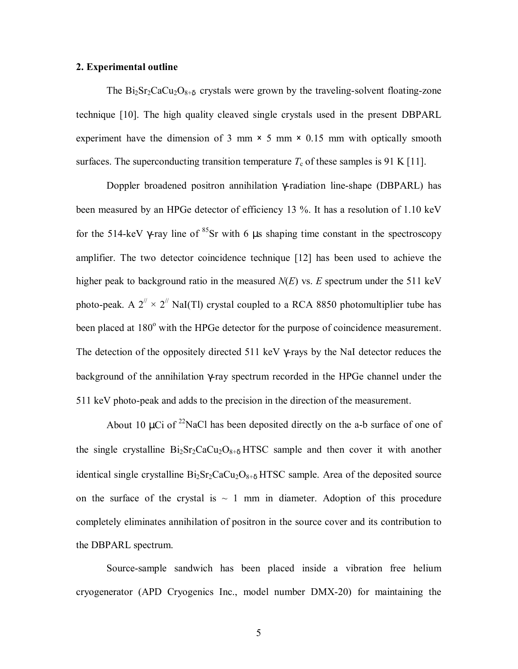#### **2. Experimental outline**

The  $Bi_2Sr_2CaCu_2O_{8+\delta}$  crystals were grown by the traveling-solvent floating-zone technique [10]. The high quality cleaved single crystals used in the present DBPARL experiment have the dimension of 3 mm  $\times$  5 mm  $\times$  0.15 mm with optically smooth surfaces. The superconducting transition temperature  $T_c$  of these samples is 91 K [11].

 Doppler broadened positron annihilation γ-radiation line-shape (DBPARL) has been measured by an HPGe detector of efficiency 13 %. It has a resolution of 1.10 keV for the 514-keV  $\gamma$ -ray line of <sup>85</sup>Sr with 6  $\mu$ s shaping time constant in the spectroscopy amplifier. The two detector coincidence technique [12] has been used to achieve the higher peak to background ratio in the measured *N*(*E*) vs. *E* spectrum under the 511 keV photo-peak. A  $2^{\prime\prime} \times 2^{\prime\prime}$  NaI(Tl) crystal coupled to a RCA 8850 photomultiplier tube has been placed at 180° with the HPGe detector for the purpose of coincidence measurement. The detection of the oppositely directed 511 keV γ-rays by the NaI detector reduces the background of the annihilation γ-ray spectrum recorded in the HPGe channel under the 511 keV photo-peak and adds to the precision in the direction of the measurement.

About 10  $\mu$ Ci of <sup>22</sup>NaCl has been deposited directly on the a-b surface of one of the single crystalline  $Bi_2Sr_2CaCu_2O_{8+\delta}$  HTSC sample and then cover it with another identical single crystalline  $Bi_2Sr_2CaCu_2O_{8+\delta}$  HTSC sample. Area of the deposited source on the surface of the crystal is  $\sim$  1 mm in diameter. Adoption of this procedure completely eliminates annihilation of positron in the source cover and its contribution to the DBPARL spectrum.

 Source-sample sandwich has been placed inside a vibration free helium cryogenerator (APD Cryogenics Inc., model number DMX-20) for maintaining the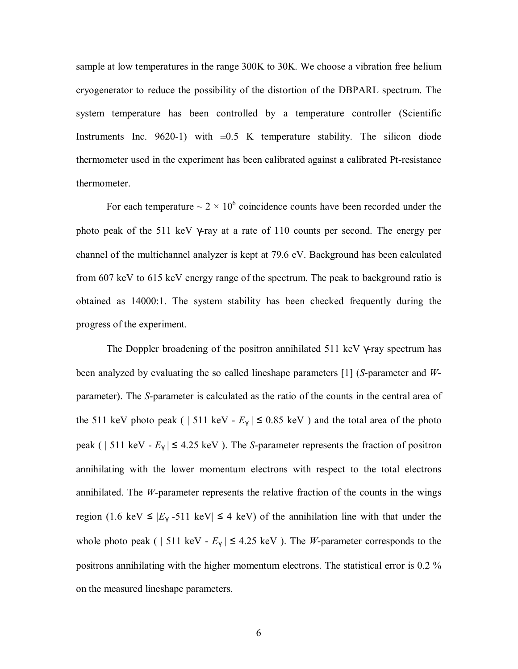sample at low temperatures in the range 300K to 30K. We choose a vibration free helium cryogenerator to reduce the possibility of the distortion of the DBPARL spectrum. The system temperature has been controlled by a temperature controller (Scientific Instruments Inc. 9620-1) with  $\pm 0.5$  K temperature stability. The silicon diode thermometer used in the experiment has been calibrated against a calibrated Pt-resistance thermometer.

For each temperature  $\sim 2 \times 10^6$  coincidence counts have been recorded under the photo peak of the 511 keV γ-ray at a rate of 110 counts per second. The energy per channel of the multichannel analyzer is kept at 79.6 eV. Background has been calculated from 607 keV to 615 keV energy range of the spectrum. The peak to background ratio is obtained as 14000:1. The system stability has been checked frequently during the progress of the experiment.

 The Doppler broadening of the positron annihilated 511 keV γ-ray spectrum has been analyzed by evaluating the so called lineshape parameters [1] (*S*-parameter and *W*parameter). The *S*-parameter is calculated as the ratio of the counts in the central area of the 511 keV photo peak ( | 511 keV -  $E_\gamma$  |  $\leq$  0.85 keV) and the total area of the photo peak ( | 511 keV -  $E_{\gamma}$  |  $\leq$  4.25 keV ). The *S*-parameter represents the fraction of positron annihilating with the lower momentum electrons with respect to the total electrons annihilated. The *W*-parameter represents the relative fraction of the counts in the wings region (1.6 keV  $\leq$   $|E_\gamma - 511$  keV|  $\leq$  4 keV) of the annihilation line with that under the whole photo peak ( | 511 keV -  $E_\gamma$  |  $\leq$  4.25 keV ). The *W*-parameter corresponds to the positrons annihilating with the higher momentum electrons. The statistical error is 0.2 % on the measured lineshape parameters.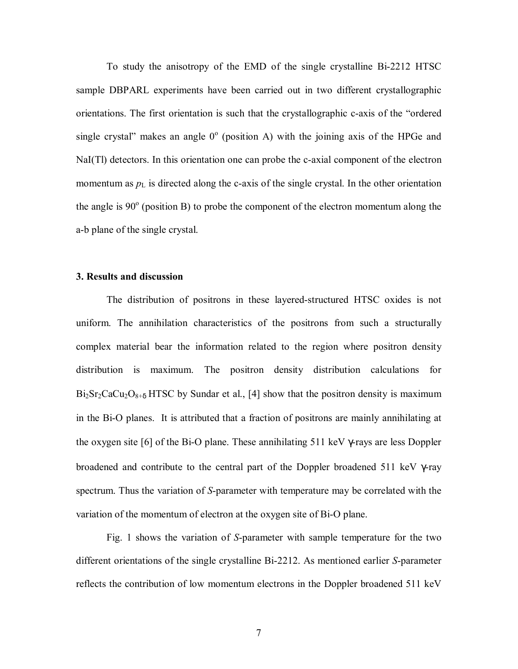To study the anisotropy of the EMD of the single crystalline Bi-2212 HTSC sample DBPARL experiments have been carried out in two different crystallographic orientations. The first orientation is such that the crystallographic c-axis of the "ordered" single crystal" makes an angle  $0^{\circ}$  (position A) with the joining axis of the HPGe and NaI(Tl) detectors. In this orientation one can probe the c-axial component of the electron momentum as  $p_L$  is directed along the c-axis of the single crystal. In the other orientation the angle is  $90^\circ$  (position B) to probe the component of the electron momentum along the a-b plane of the single crystal.

#### **3. Results and discussion**

 The distribution of positrons in these layered-structured HTSC oxides is not uniform. The annihilation characteristics of the positrons from such a structurally complex material bear the information related to the region where positron density distribution is maximum. The positron density distribution calculations for  $Bi<sub>2</sub>Sr<sub>2</sub>CaCu<sub>2</sub>O<sub>8+δ</sub> HTSC by Sundar et al., [4] show that the positron density is maximum$ in the Bi-O planes. It is attributed that a fraction of positrons are mainly annihilating at the oxygen site [6] of the Bi-O plane. These annihilating 511 keV γ-rays are less Doppler broadened and contribute to the central part of the Doppler broadened 511 keV γ-ray spectrum. Thus the variation of *S*-parameter with temperature may be correlated with the variation of the momentum of electron at the oxygen site of Bi-O plane.

Fig. 1 shows the variation of *S*-parameter with sample temperature for the two different orientations of the single crystalline Bi-2212. As mentioned earlier *S*-parameter reflects the contribution of low momentum electrons in the Doppler broadened 511 keV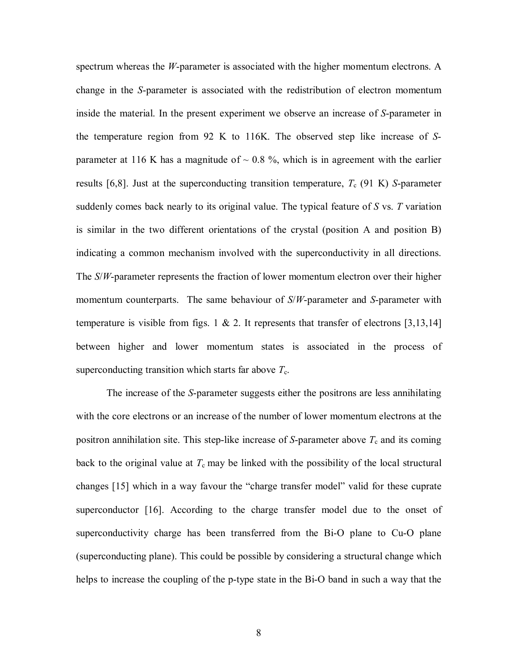spectrum whereas the *W*-parameter is associated with the higher momentum electrons. A change in the *S*-parameter is associated with the redistribution of electron momentum inside the material. In the present experiment we observe an increase of *S*-parameter in the temperature region from 92 K to 116K. The observed step like increase of *S*parameter at 116 K has a magnitude of  $\sim$  0.8 %, which is in agreement with the earlier results [6,8]. Just at the superconducting transition temperature,  $T_c$  (91 K) *S*-parameter suddenly comes back nearly to its original value. The typical feature of *S* vs. *T* variation is similar in the two different orientations of the crystal (position A and position B) indicating a common mechanism involved with the superconductivity in all directions. The *S*/*W*-parameter represents the fraction of lower momentum electron over their higher momentum counterparts. The same behaviour of *S*/*W*-parameter and *S*-parameter with temperature is visible from figs. 1 & 2. It represents that transfer of electrons [3,13,14] between higher and lower momentum states is associated in the process of superconducting transition which starts far above  $T_c$ .

 The increase of the *S*-parameter suggests either the positrons are less annihilating with the core electrons or an increase of the number of lower momentum electrons at the positron annihilation site. This step-like increase of *S*-parameter above  $T_c$  and its coming back to the original value at  $T_c$  may be linked with the possibility of the local structural changes [15] which in a way favour the "charge transfer model" valid for these cuprate superconductor [16]. According to the charge transfer model due to the onset of superconductivity charge has been transferred from the Bi-O plane to Cu-O plane (superconducting plane). This could be possible by considering a structural change which helps to increase the coupling of the p-type state in the Bi-O band in such a way that the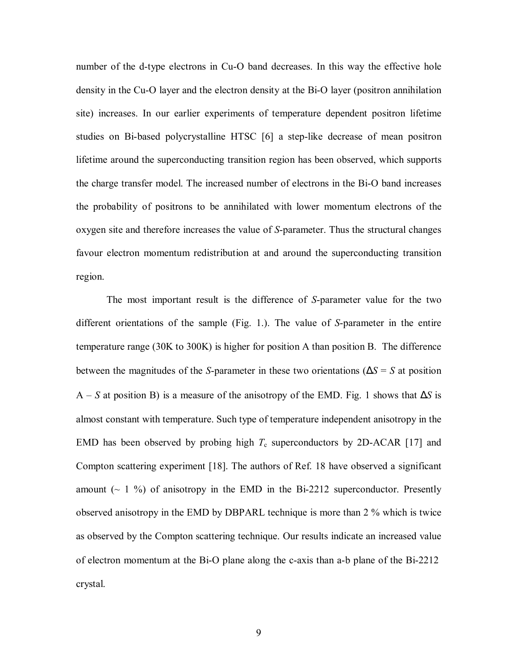number of the d-type electrons in Cu-O band decreases. In this way the effective hole density in the Cu-O layer and the electron density at the Bi-O layer (positron annihilation site) increases. In our earlier experiments of temperature dependent positron lifetime studies on Bi-based polycrystalline HTSC [6] a step-like decrease of mean positron lifetime around the superconducting transition region has been observed, which supports the charge transfer model. The increased number of electrons in the Bi-O band increases the probability of positrons to be annihilated with lower momentum electrons of the oxygen site and therefore increases the value of *S*-parameter. Thus the structural changes favour electron momentum redistribution at and around the superconducting transition region.

 The most important result is the difference of *S*-parameter value for the two different orientations of the sample (Fig. 1.). The value of *S*-parameter in the entire temperature range (30K to 300K) is higher for position A than position B. The difference between the magnitudes of the *S*-parameter in these two orientations (∆*S* = *S* at position A ñ *S* at position B) is a measure of the anisotropy of the EMD. Fig. 1 shows that ∆*S* is almost constant with temperature. Such type of temperature independent anisotropy in the EMD has been observed by probing high  $T_c$  superconductors by 2D-ACAR [17] and Compton scattering experiment [18]. The authors of Ref. 18 have observed a significant amount  $(\sim 1 \%)$  of anisotropy in the EMD in the Bi-2212 superconductor. Presently observed anisotropy in the EMD by DBPARL technique is more than 2 % which is twice as observed by the Compton scattering technique. Our results indicate an increased value of electron momentum at the Bi-O plane along the c-axis than a-b plane of the Bi-2212 crystal.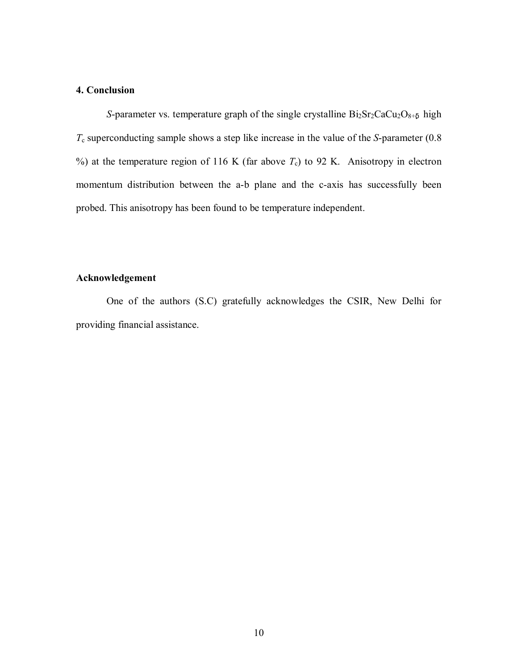## **4. Conclusion**

*S*-parameter vs. temperature graph of the single crystalline  $Bi_2Sr_2CaCu_2O_{8+\delta}$  high *T*c superconducting sample shows a step like increase in the value of the *S*-parameter (0.8 %) at the temperature region of 116 K (far above  $T_c$ ) to 92 K. Anisotropy in electron momentum distribution between the a-b plane and the c-axis has successfully been probed. This anisotropy has been found to be temperature independent.

### **Acknowledgement**

 One of the authors (S.C) gratefully acknowledges the CSIR, New Delhi for providing financial assistance.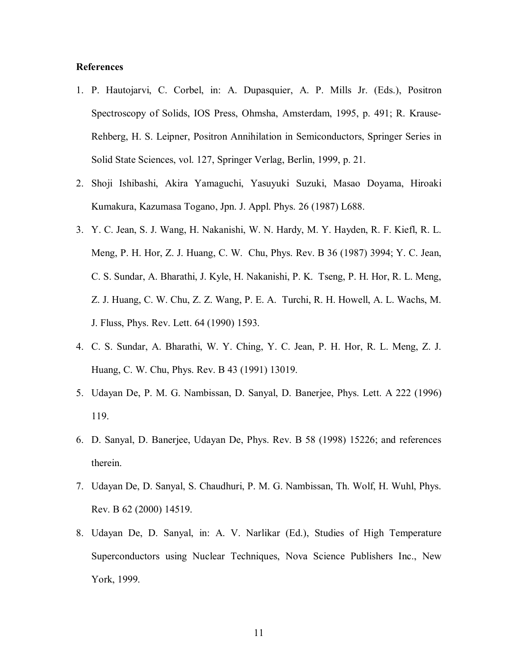#### **References**

- 1. P. Hautojarvi, C. Corbel, in: A. Dupasquier, A. P. Mills Jr. (Eds.), Positron Spectroscopy of Solids, IOS Press, Ohmsha, Amsterdam, 1995, p. 491; R. Krause-Rehberg, H. S. Leipner, Positron Annihilation in Semiconductors, Springer Series in Solid State Sciences, vol. 127, Springer Verlag, Berlin, 1999, p. 21.
- 2. Shoji Ishibashi, Akira Yamaguchi, Yasuyuki Suzuki, Masao Doyama, Hiroaki Kumakura, Kazumasa Togano, Jpn. J. Appl. Phys. 26 (1987) L688.
- 3. Y. C. Jean, S. J. Wang, H. Nakanishi, W. N. Hardy, M. Y. Hayden, R. F. Kiefl, R. L. Meng, P. H. Hor, Z. J. Huang, C. W. Chu, Phys. Rev. B 36 (1987) 3994; Y. C. Jean, C. S. Sundar, A. Bharathi, J. Kyle, H. Nakanishi, P. K. Tseng, P. H. Hor, R. L. Meng, Z. J. Huang, C. W. Chu, Z. Z. Wang, P. E. A. Turchi, R. H. Howell, A. L. Wachs, M. J. Fluss, Phys. Rev. Lett. 64 (1990) 1593.
- 4. C. S. Sundar, A. Bharathi, W. Y. Ching, Y. C. Jean, P. H. Hor, R. L. Meng, Z. J. Huang, C. W. Chu, Phys. Rev. B 43 (1991) 13019.
- 5. Udayan De, P. M. G. Nambissan, D. Sanyal, D. Banerjee, Phys. Lett. A 222 (1996) 119.
- 6. D. Sanyal, D. Banerjee, Udayan De, Phys. Rev. B 58 (1998) 15226; and references therein.
- 7. Udayan De, D. Sanyal, S. Chaudhuri, P. M. G. Nambissan, Th. Wolf, H. Wuhl, Phys. Rev. B 62 (2000) 14519.
- 8. Udayan De, D. Sanyal, in: A. V. Narlikar (Ed.), Studies of High Temperature Superconductors using Nuclear Techniques, Nova Science Publishers Inc., New York, 1999.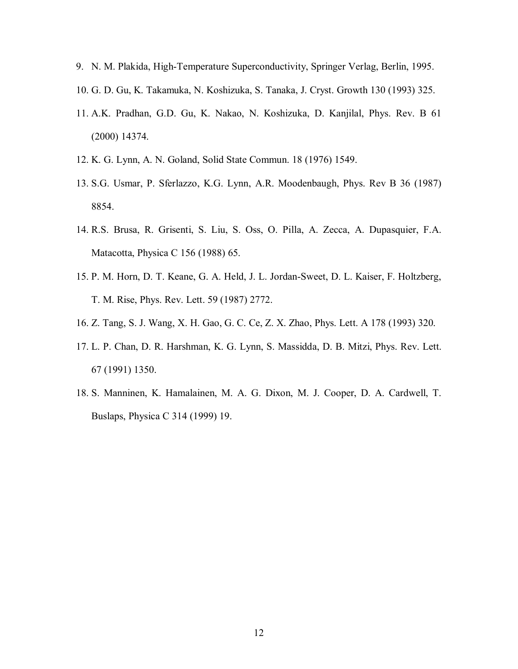- 9. N. M. Plakida, High-Temperature Superconductivity, Springer Verlag, Berlin, 1995.
- 10. G. D. Gu, K. Takamuka, N. Koshizuka, S. Tanaka, J. Cryst. Growth 130 (1993) 325.
- 11. A.K. Pradhan, G.D. Gu, K. Nakao, N. Koshizuka, D. Kanjilal, Phys. Rev. B 61 (2000) 14374.
- 12. K. G. Lynn, A. N. Goland, Solid State Commun. 18 (1976) 1549.
- 13. S.G. Usmar, P. Sferlazzo, K.G. Lynn, A.R. Moodenbaugh, Phys. Rev B 36 (1987) 8854.
- 14. R.S. Brusa, R. Grisenti, S. Liu, S. Oss, O. Pilla, A. Zecca, A. Dupasquier, F.A. Matacotta, Physica C 156 (1988) 65.
- 15. P. M. Horn, D. T. Keane, G. A. Held, J. L. Jordan-Sweet, D. L. Kaiser, F. Holtzberg, T. M. Rise, Phys. Rev. Lett. 59 (1987) 2772.
- 16. Z. Tang, S. J. Wang, X. H. Gao, G. C. Ce, Z. X. Zhao, Phys. Lett. A 178 (1993) 320.
- 17. L. P. Chan, D. R. Harshman, K. G. Lynn, S. Massidda, D. B. Mitzi, Phys. Rev. Lett. 67 (1991) 1350.
- 18. S. Manninen, K. Hamalainen, M. A. G. Dixon, M. J. Cooper, D. A. Cardwell, T. Buslaps, Physica C 314 (1999) 19.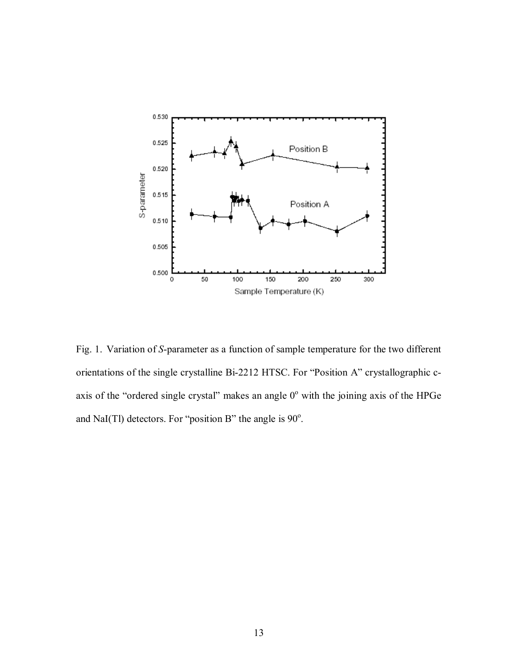

Fig. 1. Variation of *S*-parameter as a function of sample temperature for the two different orientations of the single crystalline Bi-2212 HTSC. For "Position A" crystallographic caxis of the "ordered single crystal" makes an angle  $0^{\circ}$  with the joining axis of the HPGe and NaI(Tl) detectors. For "position B" the angle is  $90^\circ$ .